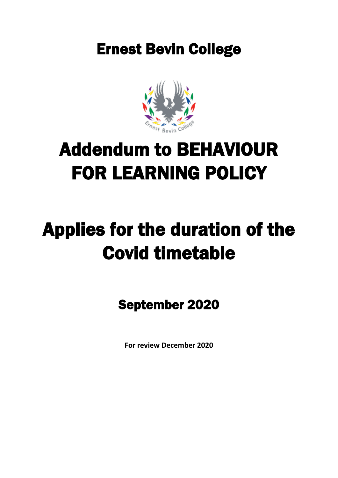Ernest Bevin College



## Addendum to BEHAVIOUR FOR LEARNING POLICY

# Applies for the duration of the Covid timetable

September 2020

**For review December 2020**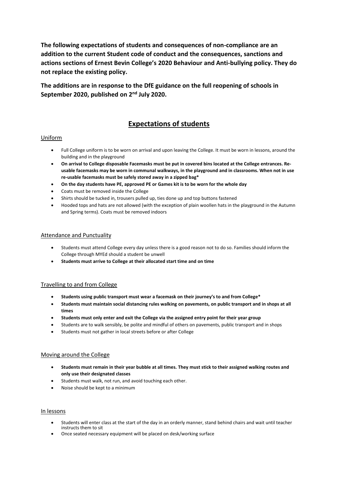**The following expectations of students and consequences of non-compliance are an addition to the current Student code of conduct and the consequences, sanctions and actions sections of Ernest Bevin College's 2020 Behaviour and Anti-bullying policy. They do not replace the existing policy.**

**The additions are in response to the DfE guidance on the full reopening of schools in September 2020, published on 2nd July 2020.**

### **Expectations of students**

#### Uniform

- Full College uniform is to be worn on arrival and upon leaving the College. It must be worn in lessons, around the building and in the playground
- **On arrival to College disposable Facemasks must be put in covered bins located at the College entrances. Reusable facemasks may be worn in communal walkways, in the playground and in classrooms. When not in use re-usable facemasks must be safely stored away in a zipped bag\***
- **On the day students have PE, approved PE or Games kit is to be worn for the whole day**
- Coats must be removed inside the College
- Shirts should be tucked in, trousers pulled up, ties done up and top buttons fastened
- Hooded tops and hats are not allowed (with the exception of plain woollen hats in the playground in the Autumn and Spring terms). Coats must be removed indoors

#### Attendance and Punctuality

- Students must attend College every day unless there is a good reason not to do so. Families should inform the College through MYEd should a student be unwell
- **Students must arrive to College at their allocated start time and on time**

#### Travelling to and from College

- **Students using public transport must wear a facemask on their journey's to and from College\***
- **Students must maintain social distancing rules walking on pavements, on public transport and in shops at all times**
- **Students must only enter and exit the College via the assigned entry point for their year group**
- Students are to walk sensibly, be polite and mindful of others on pavements, public transport and in shops
- Students must not gather in local streets before or after College

#### Moving around the College

- **Students must remain in their year bubble at all times. They must stick to their assigned walking routes and only use their designated classes**
- Students must walk, not run, and avoid touching each other.
- Noise should be kept to a minimum

#### In lessons

- Students will enter class at the start of the day in an orderly manner, stand behind chairs and wait until teacher instructs them to sit
- Once seated necessary equipment will be placed on desk/working surface